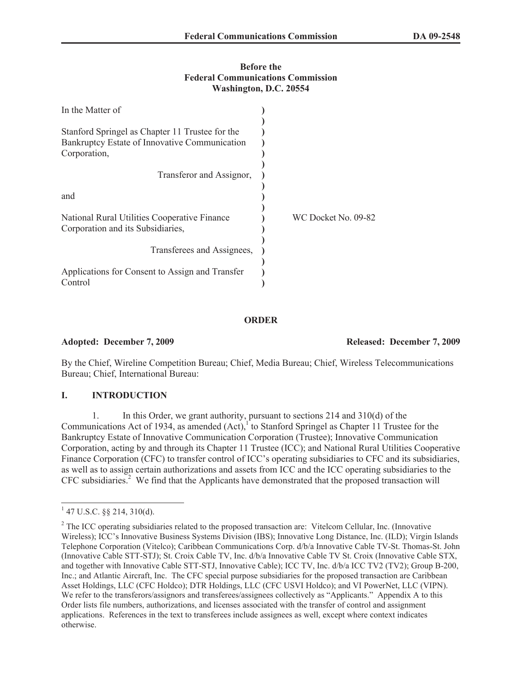### **Before the Federal Communications Commission Washington, D.C. 20554**

| In the Matter of                                                                                                 |                     |
|------------------------------------------------------------------------------------------------------------------|---------------------|
| Stanford Springel as Chapter 11 Trustee for the<br>Bankruptcy Estate of Innovative Communication<br>Corporation, |                     |
| Transferor and Assignor,                                                                                         |                     |
| and                                                                                                              |                     |
| National Rural Utilities Cooperative Finance<br>Corporation and its Subsidiaries,                                | WC Docket No. 09-82 |
| Transferees and Assignees,                                                                                       |                     |
| Applications for Consent to Assign and Transfer<br>Control                                                       |                     |

### **ORDER**

**Adopted: December 7, 2009 Released: December 7, 2009**

By the Chief, Wireline Competition Bureau; Chief, Media Bureau; Chief, Wireless Telecommunications Bureau; Chief, International Bureau:

# **I. INTRODUCTION**

1. In this Order, we grant authority, pursuant to sections 214 and 310(d) of the Communications Act of 1934, as amended  $(Act)$ ,  $\int$  to Stanford Springel as Chapter 11 Trustee for the Bankruptcy Estate of Innovative Communication Corporation (Trustee); Innovative Communication Corporation, acting by and through its Chapter 11 Trustee (ICC); and National Rural Utilities Cooperative Finance Corporation (CFC) to transfer control of ICC's operating subsidiaries to CFC and its subsidiaries, as well as to assign certain authorizations and assets from ICC and the ICC operating subsidiaries to the CFC subsidiaries.<sup>2</sup> We find that the Applicants have demonstrated that the proposed transaction will

 $1$  47 U.S.C. §§ 214, 310(d).

<sup>&</sup>lt;sup>2</sup> The ICC operating subsidiaries related to the proposed transaction are: Vitelcom Cellular, Inc. (Innovative Wireless); ICC's Innovative Business Systems Division (IBS); Innovative Long Distance, Inc. (ILD); Virgin Islands Telephone Corporation (Vitelco); Caribbean Communications Corp. d/b/a Innovative Cable TV-St. Thomas-St. John (Innovative Cable STT-STJ); St. Croix Cable TV, Inc. d/b/a Innovative Cable TV St. Croix (Innovative Cable STX, and together with Innovative Cable STT-STJ, Innovative Cable); ICC TV, Inc. d/b/a ICC TV2 (TV2); Group B-200, Inc.; and Atlantic Aircraft, Inc. The CFC special purpose subsidiaries for the proposed transaction are Caribbean Asset Holdings, LLC (CFC Holdco); DTR Holdings, LLC (CFC USVI Holdco); and VI PowerNet, LLC (VIPN). We refer to the transferors/assignors and transferees/assignees collectively as "Applicants." Appendix A to this Order lists file numbers, authorizations, and licenses associated with the transfer of control and assignment applications. References in the text to transferees include assignees as well, except where context indicates otherwise.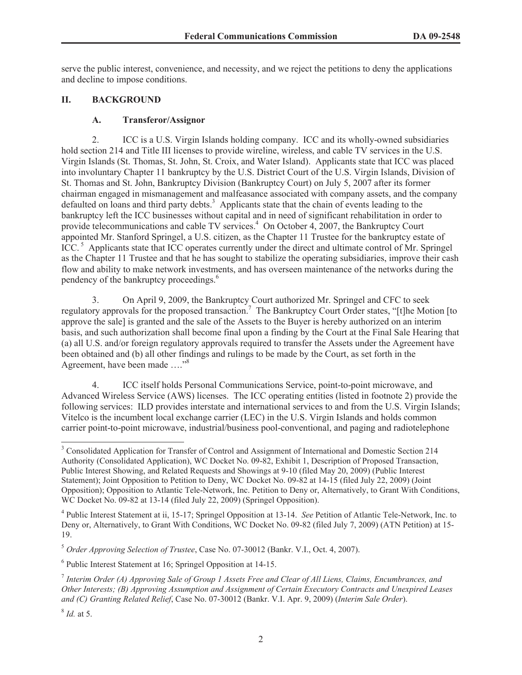serve the public interest, convenience, and necessity, and we reject the petitions to deny the applications and decline to impose conditions.

### **II. BACKGROUND**

#### **A. Transferor/Assignor**

2. ICC is a U.S. Virgin Islands holding company. ICC and its wholly-owned subsidiaries hold section 214 and Title III licenses to provide wireline, wireless, and cable TV services in the U.S. Virgin Islands (St. Thomas, St. John, St. Croix, and Water Island). Applicants state that ICC was placed into involuntary Chapter 11 bankruptcy by the U.S. District Court of the U.S. Virgin Islands, Division of St. Thomas and St. John, Bankruptcy Division (Bankruptcy Court) on July 5, 2007 after its former chairman engaged in mismanagement and malfeasance associated with company assets, and the company defaulted on loans and third party debts.<sup>3</sup> Applicants state that the chain of events leading to the bankruptcy left the ICC businesses without capital and in need of significant rehabilitation in order to provide telecommunications and cable TV services.<sup>4</sup> On October 4, 2007, the Bankruptcy Court appointed Mr. Stanford Springel, a U.S. citizen, as the Chapter 11 Trustee for the bankruptcy estate of ICC. <sup>5</sup> Applicants state that ICC operates currently under the direct and ultimate control of Mr. Springel as the Chapter 11 Trustee and that he has sought to stabilize the operating subsidiaries, improve their cash flow and ability to make network investments, and has overseen maintenance of the networks during the pendency of the bankruptcy proceedings.<sup>6</sup>

3. On April 9, 2009, the Bankruptcy Court authorized Mr. Springel and CFC to seek regulatory approvals for the proposed transaction.<sup>7</sup> The Bankruptcy Court Order states, "[t]he Motion [to approve the sale] is granted and the sale of the Assets to the Buyer is hereby authorized on an interim basis, and such authorization shall become final upon a finding by the Court at the Final Sale Hearing that (a) all U.S. and/or foreign regulatory approvals required to transfer the Assets under the Agreement have been obtained and (b) all other findings and rulings to be made by the Court, as set forth in the Agreement, have been made ...."<sup>8</sup>

4. ICC itself holds Personal Communications Service, point-to-point microwave, and Advanced Wireless Service (AWS) licenses. The ICC operating entities (listed in footnote 2) provide the following services: ILD provides interstate and international services to and from the U.S. Virgin Islands; Vitelco is the incumbent local exchange carrier (LEC) in the U.S. Virgin Islands and holds common carrier point-to-point microwave, industrial/business pool-conventional, and paging and radiotelephone

<sup>5</sup> *Order Approving Selection of Trustee*, Case No. 07-30012 (Bankr. V.I., Oct. 4, 2007).

6 Public Interest Statement at 16; Springel Opposition at 14-15.

<sup>&</sup>lt;sup>3</sup> Consolidated Application for Transfer of Control and Assignment of International and Domestic Section 214 Authority (Consolidated Application), WC Docket No. 09-82, Exhibit 1, Description of Proposed Transaction, Public Interest Showing, and Related Requests and Showings at 9-10 (filed May 20, 2009) (Public Interest Statement); Joint Opposition to Petition to Deny, WC Docket No. 09-82 at 14-15 (filed July 22, 2009) (Joint Opposition); Opposition to Atlantic Tele-Network, Inc. Petition to Deny or, Alternatively, to Grant With Conditions, WC Docket No. 09-82 at 13-14 (filed July 22, 2009) (Springel Opposition).

<sup>4</sup> Public Interest Statement at ii, 15-17; Springel Opposition at 13-14. *See* Petition of Atlantic Tele-Network, Inc. to Deny or, Alternatively, to Grant With Conditions, WC Docket No. 09-82 (filed July 7, 2009) (ATN Petition) at 15- 19.

<sup>7</sup> *Interim Order (A) Approving Sale of Group 1 Assets Free and Clear of All Liens, Claims, Encumbrances, and Other Interests; (B) Approving Assumption and Assignment of Certain Executory Contracts and Unexpired Leases and (C) Granting Related Relief*, Case No. 07-30012 (Bankr. V.I. Apr. 9, 2009) (*Interim Sale Order*).

<sup>8</sup> *Id.* at 5.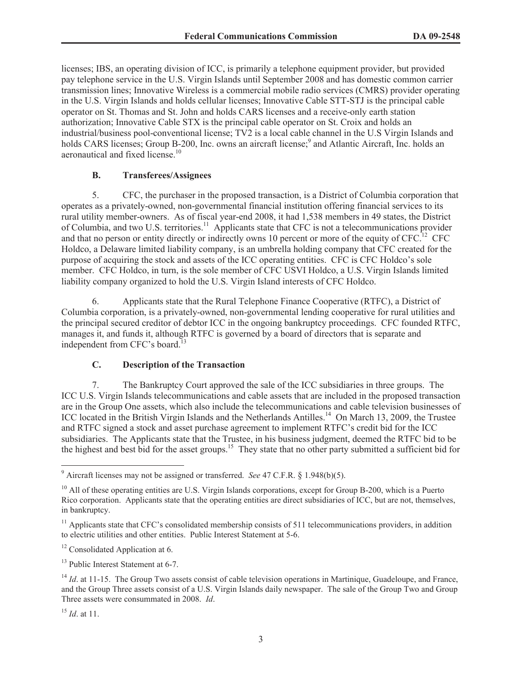licenses; IBS, an operating division of ICC, is primarily a telephone equipment provider, but provided pay telephone service in the U.S. Virgin Islands until September 2008 and has domestic common carrier transmission lines; Innovative Wireless is a commercial mobile radio services (CMRS) provider operating in the U.S. Virgin Islands and holds cellular licenses; Innovative Cable STT-STJ is the principal cable operator on St. Thomas and St. John and holds CARS licenses and a receive-only earth station authorization; Innovative Cable STX is the principal cable operator on St. Croix and holds an industrial/business pool-conventional license; TV2 is a local cable channel in the U.S Virgin Islands and holds CARS licenses; Group B-200, Inc. owns an aircraft license;<sup>9</sup> and Atlantic Aircraft, Inc. holds an aeronautical and fixed license.<sup>10</sup>

### **B. Transferees/Assignees**

5. CFC, the purchaser in the proposed transaction, is a District of Columbia corporation that operates as a privately-owned, non-governmental financial institution offering financial services to its rural utility member-owners. As of fiscal year-end 2008, it had 1,538 members in 49 states, the District of Columbia, and two U.S. territories.<sup>11</sup> Applicants state that CFC is not a telecommunications provider and that no person or entity directly or indirectly owns 10 percent or more of the equity of CFC.<sup>12</sup> CFC Holdco, a Delaware limited liability company, is an umbrella holding company that CFC created for the purpose of acquiring the stock and assets of the ICC operating entities. CFC is CFC Holdco's sole member. CFC Holdco, in turn, is the sole member of CFC USVI Holdco, a U.S. Virgin Islands limited liability company organized to hold the U.S. Virgin Island interests of CFC Holdco.

6. Applicants state that the Rural Telephone Finance Cooperative (RTFC), a District of Columbia corporation, is a privately-owned, non-governmental lending cooperative for rural utilities and the principal secured creditor of debtor ICC in the ongoing bankruptcy proceedings. CFC founded RTFC, manages it, and funds it, although RTFC is governed by a board of directors that is separate and independent from CFC's board.<sup>13</sup>

### **C. Description of the Transaction**

7. The Bankruptcy Court approved the sale of the ICC subsidiaries in three groups. The ICC U.S. Virgin Islands telecommunications and cable assets that are included in the proposed transaction are in the Group One assets, which also include the telecommunications and cable television businesses of ICC located in the British Virgin Islands and the Netherlands Antilles.<sup>14</sup> On March 13, 2009, the Trustee and RTFC signed a stock and asset purchase agreement to implement RTFC's credit bid for the ICC subsidiaries. The Applicants state that the Trustee, in his business judgment, deemed the RTFC bid to be the highest and best bid for the asset groups.<sup>15</sup> They state that no other party submitted a sufficient bid for

<sup>9</sup> Aircraft licenses may not be assigned or transferred. *See* 47 C.F.R. § 1.948(b)(5).

<sup>&</sup>lt;sup>10</sup> All of these operating entities are U.S. Virgin Islands corporations, except for Group B-200, which is a Puerto Rico corporation. Applicants state that the operating entities are direct subsidiaries of ICC, but are not, themselves, in bankruptcy.

 $11$  Applicants state that CFC's consolidated membership consists of 511 telecommunications providers, in addition to electric utilities and other entities. Public Interest Statement at 5-6.

<sup>&</sup>lt;sup>12</sup> Consolidated Application at 6.

<sup>&</sup>lt;sup>13</sup> Public Interest Statement at 6-7.

<sup>&</sup>lt;sup>14</sup> *Id.* at 11-15. The Group Two assets consist of cable television operations in Martinique, Guadeloupe, and France, and the Group Three assets consist of a U.S. Virgin Islands daily newspaper. The sale of the Group Two and Group Three assets were consummated in 2008. *Id*.

<sup>15</sup> *Id*. at 11.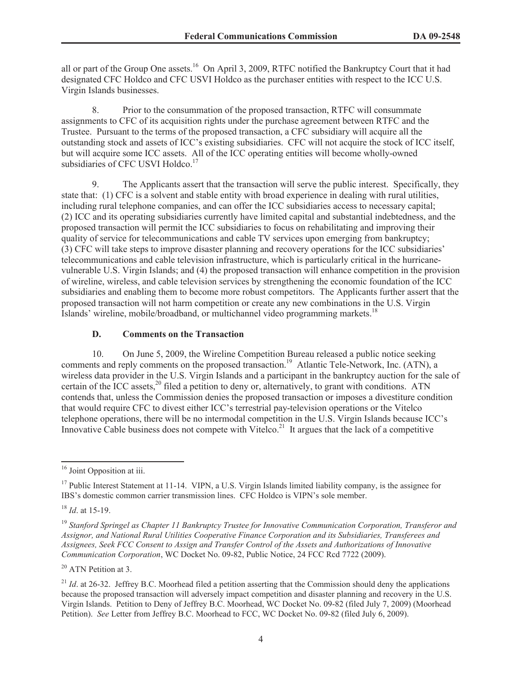all or part of the Group One assets.<sup>16</sup> On April 3, 2009, RTFC notified the Bankruptcy Court that it had designated CFC Holdco and CFC USVI Holdco as the purchaser entities with respect to the ICC U.S. Virgin Islands businesses.

8. Prior to the consummation of the proposed transaction, RTFC will consummate assignments to CFC of its acquisition rights under the purchase agreement between RTFC and the Trustee. Pursuant to the terms of the proposed transaction, a CFC subsidiary will acquire all the outstanding stock and assets of ICC's existing subsidiaries. CFC will not acquire the stock of ICC itself, but will acquire some ICC assets. All of the ICC operating entities will become wholly-owned subsidiaries of CFC USVI Holdco.<sup>17</sup>

9. The Applicants assert that the transaction will serve the public interest. Specifically, they state that: (1) CFC is a solvent and stable entity with broad experience in dealing with rural utilities, including rural telephone companies, and can offer the ICC subsidiaries access to necessary capital; (2) ICC and its operating subsidiaries currently have limited capital and substantial indebtedness, and the proposed transaction will permit the ICC subsidiaries to focus on rehabilitating and improving their quality of service for telecommunications and cable TV services upon emerging from bankruptcy; (3) CFC will take steps to improve disaster planning and recovery operations for the ICC subsidiaries' telecommunications and cable television infrastructure, which is particularly critical in the hurricanevulnerable U.S. Virgin Islands; and (4) the proposed transaction will enhance competition in the provision of wireline, wireless, and cable television services by strengthening the economic foundation of the ICC subsidiaries and enabling them to become more robust competitors. The Applicants further assert that the proposed transaction will not harm competition or create any new combinations in the U.S. Virgin Islands' wireline, mobile/broadband, or multichannel video programming markets.<sup>18</sup>

### **D. Comments on the Transaction**

10. On June 5, 2009, the Wireline Competition Bureau released a public notice seeking comments and reply comments on the proposed transaction.<sup>19</sup> Atlantic Tele-Network, Inc. (ATN), a wireless data provider in the U.S. Virgin Islands and a participant in the bankruptcy auction for the sale of certain of the ICC assets,<sup>20</sup> filed a petition to deny or, alternatively, to grant with conditions. ATN contends that, unless the Commission denies the proposed transaction or imposes a divestiture condition that would require CFC to divest either ICC's terrestrial pay-television operations or the Vitelco telephone operations, there will be no intermodal competition in the U.S. Virgin Islands because ICC's Innovative Cable business does not compete with Vitelco.<sup>21</sup> It argues that the lack of a competitive

<sup>20</sup> ATN Petition at 3.

<sup>&</sup>lt;sup>16</sup> Joint Opposition at iii.

<sup>&</sup>lt;sup>17</sup> Public Interest Statement at 11-14. VIPN, a U.S. Virgin Islands limited liability company, is the assignee for IBS's domestic common carrier transmission lines. CFC Holdco is VIPN's sole member.

<sup>18</sup> *Id*. at 15-19.

<sup>19</sup> *Stanford Springel as Chapter 11 Bankruptcy Trustee for Innovative Communication Corporation, Transferor and Assignor, and National Rural Utilities Cooperative Finance Corporation and its Subsidiaries, Transferees and Assignees, Seek FCC Consent to Assign and Transfer Control of the Assets and Authorizations of Innovative Communication Corporation*, WC Docket No. 09-82, Public Notice, 24 FCC Rcd 7722 (2009).

<sup>&</sup>lt;sup>21</sup> *Id.* at 26-32. Jeffrey B.C. Moorhead filed a petition asserting that the Commission should deny the applications because the proposed transaction will adversely impact competition and disaster planning and recovery in the U.S. Virgin Islands. Petition to Deny of Jeffrey B.C. Moorhead, WC Docket No. 09-82 (filed July 7, 2009) (Moorhead Petition). *See* Letter from Jeffrey B.C. Moorhead to FCC, WC Docket No. 09-82 (filed July 6, 2009).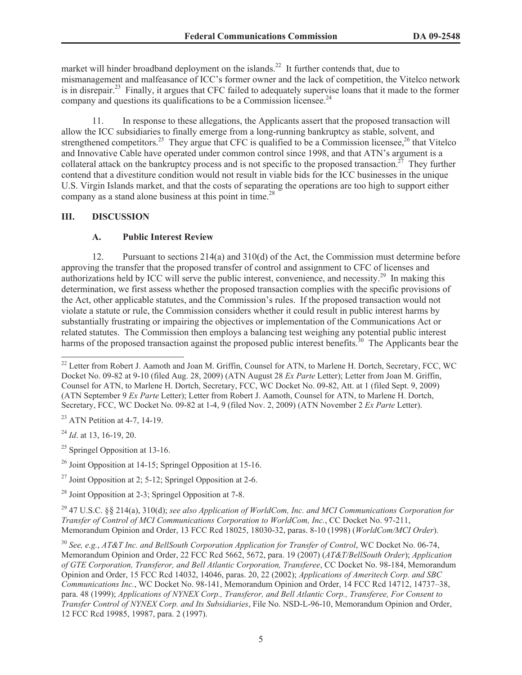market will hinder broadband deployment on the islands.<sup>22</sup> It further contends that, due to mismanagement and malfeasance of ICC's former owner and the lack of competition, the Vitelco network is in disrepair.<sup>23</sup> Finally, it argues that CFC failed to adequately supervise loans that it made to the former company and questions its qualifications to be a Commission licensee.<sup>24</sup>

11. In response to these allegations, the Applicants assert that the proposed transaction will allow the ICC subsidiaries to finally emerge from a long-running bankruptcy as stable, solvent, and strengthened competitors.<sup>25</sup> They argue that CFC is qualified to be a Commission licensee,<sup>26</sup> that Vitelco and Innovative Cable have operated under common control since 1998, and that ATN's argument is a collateral attack on the bankruptcy process and is not specific to the proposed transaction.<sup>27</sup> They further contend that a divestiture condition would not result in viable bids for the ICC businesses in the unique U.S. Virgin Islands market, and that the costs of separating the operations are too high to support either company as a stand alone business at this point in time.<sup>28</sup>

## **III. DISCUSSION**

# **A. Public Interest Review**

12. Pursuant to sections 214(a) and 310(d) of the Act, the Commission must determine before approving the transfer that the proposed transfer of control and assignment to CFC of licenses and authorizations held by ICC will serve the public interest, convenience, and necessity.<sup>29</sup> In making this determination, we first assess whether the proposed transaction complies with the specific provisions of the Act, other applicable statutes, and the Commission's rules. If the proposed transaction would not violate a statute or rule, the Commission considers whether it could result in public interest harms by substantially frustrating or impairing the objectives or implementation of the Communications Act or related statutes. The Commission then employs a balancing test weighing any potential public interest harms of the proposed transaction against the proposed public interest benefits.<sup>30</sup> The Applicants bear the

<sup>24</sup> *Id*. at 13, 16-19, 20.

<sup>25</sup> Springel Opposition at 13-16.

<sup>&</sup>lt;sup>22</sup> Letter from Robert J. Aamoth and Joan M. Griffin, Counsel for ATN, to Marlene H. Dortch, Secretary, FCC, WC Docket No. 09-82 at 9-10 (filed Aug. 28, 2009) (ATN August 28 *Ex Parte* Letter); Letter from Joan M. Griffin, Counsel for ATN, to Marlene H. Dortch, Secretary, FCC, WC Docket No. 09-82, Att. at 1 (filed Sept. 9, 2009) (ATN September 9 *Ex Parte* Letter); Letter from Robert J. Aamoth, Counsel for ATN, to Marlene H. Dortch, Secretary, FCC, WC Docket No. 09-82 at 1-4, 9 (filed Nov. 2, 2009) (ATN November 2 *Ex Parte* Letter).

 $23$  ATN Petition at 4-7, 14-19.

<sup>&</sup>lt;sup>26</sup> Joint Opposition at 14-15; Springel Opposition at 15-16.

<sup>&</sup>lt;sup>27</sup> Joint Opposition at 2; 5-12; Springel Opposition at 2-6.

 $28$  Joint Opposition at 2-3; Springel Opposition at 7-8.

<sup>29</sup> 47 U.S.C. §§ 214(a), 310(d); *see also Application of WorldCom, Inc. and MCI Communications Corporation for Transfer of Control of MCI Communications Corporation to WorldCom, Inc.*, CC Docket No. 97-211, Memorandum Opinion and Order, 13 FCC Rcd 18025, 18030-32, paras. 8-10 (1998) (*WorldCom/MCI Order*).

<sup>30</sup> *See, e.g.*, *AT&T Inc. and BellSouth Corporation Application for Transfer of Control*, WC Docket No. 06-74, Memorandum Opinion and Order, 22 FCC Rcd 5662, 5672, para. 19 (2007) (*AT&T/BellSouth Order*); *Application of GTE Corporation, Transferor, and Bell Atlantic Corporation, Transferee*, CC Docket No. 98-184, Memorandum Opinion and Order, 15 FCC Rcd 14032, 14046, paras. 20, 22 (2002); *Applications of Ameritech Corp. and SBC Communications Inc.*, WC Docket No. 98-141, Memorandum Opinion and Order, 14 FCC Rcd 14712, 14737–38, para. 48 (1999); *Applications of NYNEX Corp., Transferor, and Bell Atlantic Corp., Transferee, For Consent to Transfer Control of NYNEX Corp. and Its Subsidiaries*, File No. NSD-L-96-10, Memorandum Opinion and Order, 12 FCC Rcd 19985, 19987, para. 2 (1997).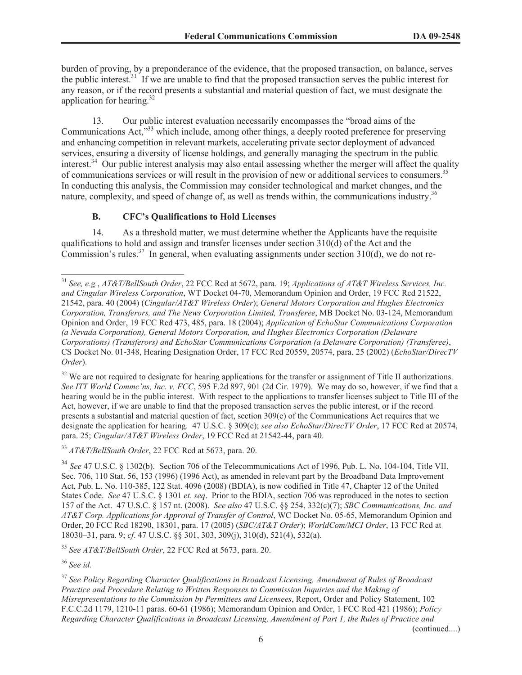burden of proving, by a preponderance of the evidence, that the proposed transaction, on balance, serves the public interest.<sup>31</sup> If we are unable to find that the proposed transaction serves the public interest for any reason, or if the record presents a substantial and material question of fact, we must designate the application for hearing. $32$ 

13. Our public interest evaluation necessarily encompasses the "broad aims of the Communications Act,<sup>"33</sup> which include, among other things, a deeply rooted preference for preserving and enhancing competition in relevant markets, accelerating private sector deployment of advanced services, ensuring a diversity of license holdings, and generally managing the spectrum in the public interest.<sup>34</sup> Our public interest analysis may also entail assessing whether the merger will affect the quality of communications services or will result in the provision of new or additional services to consumers.<sup>35</sup> In conducting this analysis, the Commission may consider technological and market changes, and the nature, complexity, and speed of change of, as well as trends within, the communications industry.<sup>36</sup>

## **B. CFC's Qualifications to Hold Licenses**

14. As a threshold matter, we must determine whether the Applicants have the requisite qualifications to hold and assign and transfer licenses under section 310(d) of the Act and the Commission's rules.<sup>37</sup> In general, when evaluating assignments under section 310(d), we do not re-

<sup>32</sup> We are not required to designate for hearing applications for the transfer or assignment of Title II authorizations. *See ITT World Commc'ns, Inc. v. FCC*, 595 F.2d 897, 901 (2d Cir. 1979). We may do so, however, if we find that a hearing would be in the public interest. With respect to the applications to transfer licenses subject to Title III of the Act, however, if we are unable to find that the proposed transaction serves the public interest, or if the record presents a substantial and material question of fact, section 309(e) of the Communications Act requires that we designate the application for hearing. 47 U.S.C. § 309(e); *see also EchoStar/DirecTV Order*, 17 FCC Rcd at 20574, para. 25; *Cingular/AT&T Wireless Order*, 19 FCC Rcd at 21542-44, para 40.

<sup>33</sup> *AT&T/BellSouth Order*, 22 FCC Rcd at 5673, para. 20.

<sup>34</sup> *See* 47 U.S.C. § 1302(b). Section 706 of the Telecommunications Act of 1996, Pub. L. No. 104-104, Title VII, Sec. 706, 110 Stat. 56, 153 (1996) (1996 Act), as amended in relevant part by the Broadband Data Improvement Act, Pub. L. No. 110-385, 122 Stat. 4096 (2008) (BDIA), is now codified in Title 47, Chapter 12 of the United States Code. *See* 47 U.S.C. § 1301 *et. seq*. Prior to the BDIA, section 706 was reproduced in the notes to section 157 of the Act. 47 U.S.C. § 157 nt. (2008). *See also* 47 U.S.C. §§ 254, 332(c)(7); *SBC Communications, Inc. and AT&T Corp. Applications for Approval of Transfer of Control*, WC Docket No. 05-65, Memorandum Opinion and Order, 20 FCC Rcd 18290, 18301, para. 17 (2005) (*SBC/AT&T Order*); *WorldCom/MCI Order*, 13 FCC Rcd at 18030–31, para. 9; *cf*. 47 U.S.C. §§ 301, 303, 309(j), 310(d), 521(4), 532(a).

<sup>35</sup> *See AT&T/BellSouth Order*, 22 FCC Rcd at 5673, para. 20.

<sup>36</sup> *See id.*

<sup>37</sup> *See Policy Regarding Character Qualifications in Broadcast Licensing, Amendment of Rules of Broadcast Practice and Procedure Relating to Written Responses to Commission Inquiries and the Making of Misrepresentations to the Commission by Permittees and Licensees*, Report, Order and Policy Statement, 102 F.C.C.2d 1179, 1210-11 paras. 60-61 (1986); Memorandum Opinion and Order, 1 FCC Rcd 421 (1986); *Policy Regarding Character Qualifications in Broadcast Licensing, Amendment of Part 1, the Rules of Practice and* 

<sup>31</sup> *See, e.g.*, *AT&T/BellSouth Order*, 22 FCC Rcd at 5672, para. 19; *Applications of AT&T Wireless Services, Inc. and Cingular Wireless Corporation*, WT Docket 04-70, Memorandum Opinion and Order, 19 FCC Rcd 21522, 21542, para. 40 (2004) (*Cingular/AT&T Wireless Order*); *General Motors Corporation and Hughes Electronics Corporation, Transferors, and The News Corporation Limited, Transferee*, MB Docket No. 03-124, Memorandum Opinion and Order, 19 FCC Rcd 473, 485, para. 18 (2004); *Application of EchoStar Communications Corporation (a Nevada Corporation), General Motors Corporation, and Hughes Electronics Corporation (Delaware Corporations) (Transferors) and EchoStar Communications Corporation (a Delaware Corporation) (Transferee)*, CS Docket No. 01-348, Hearing Designation Order, 17 FCC Rcd 20559, 20574, para. 25 (2002) (*EchoStar/DirecTV Order*).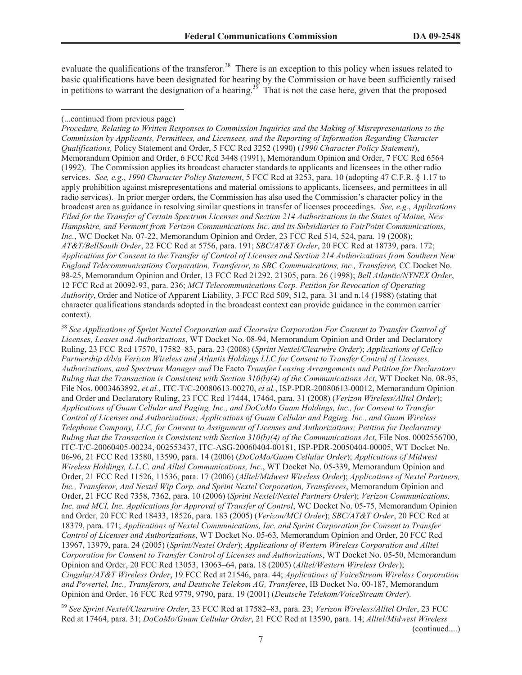evaluate the qualifications of the transferor.<sup>38</sup> There is an exception to this policy when issues related to basic qualifications have been designated for hearing by the Commission or have been sufficiently raised in petitions to warrant the designation of a hearing.<sup>39</sup> That is not the case here, given that the proposed

<sup>38</sup> *See Applications of Sprint Nextel Corporation and Clearwire Corporation For Consent to Transfer Control of Licenses, Leases and Authorizations*, WT Docket No. 08-94, Memorandum Opinion and Order and Declaratory Ruling, 23 FCC Rcd 17570, 17582–83, para. 23 (2008) (*Sprint Nextel/Clearwire Order*); *Applications of Cellco Partnership d/b/a Verizon Wireless and Atlantis Holdings LLC for Consent to Transfer Control of Licenses, Authorizations, and Spectrum Manager and* De Facto *Transfer Leasing Arrangements and Petition for Declaratory Ruling that the Transaction is Consistent with Section 310(b)(4) of the Communications Act*, WT Docket No. 08-95, File Nos. 0003463892, *et al.*, ITC-T/C-20080613-00270, *et al.*, ISP-PDR-20080613-00012, Memorandum Opinion and Order and Declaratory Ruling, 23 FCC Rcd 17444, 17464, para. 31 (2008) (*Verizon Wireless/Alltel Order*); *Applications of Guam Cellular and Paging, Inc., and DoCoMo Guam Holdings, Inc., for Consent to Transfer Control of Licenses and Authorizations; Applications of Guam Cellular and Paging, Inc., and Guam Wireless Telephone Company, LLC, for Consent to Assignment of Licenses and Authorizations; Petition for Declaratory Ruling that the Transaction is Consistent with Section 310(b)(4) of the Communications Act*, File Nos. 0002556700, ITC-T/C-20060405-00234, 002553437, ITC-ASG-20060404-00181, ISP-PDR-20050404-00005, WT Docket No. 06-96, 21 FCC Rcd 13580, 13590, para. 14 (2006) (*DoCoMo/Guam Cellular Order*); *Applications of Midwest Wireless Holdings, L.L.C. and Alltel Communications, Inc.*, WT Docket No. 05-339, Memorandum Opinion and Order, 21 FCC Rcd 11526, 11536, para. 17 (2006) (*Alltel/Midwest Wireless Order*); *Applications of Nextel Partners, Inc., Transferor, And Nextel Wip Corp. and Sprint Nextel Corporation, Transferees*, Memorandum Opinion and Order, 21 FCC Rcd 7358, 7362, para. 10 (2006) (*Sprint Nextel/Nextel Partners Order*); *Verizon Communications, Inc. and MCI, Inc. Applications for Approval of Transfer of Control*, WC Docket No. 05-75, Memorandum Opinion and Order, 20 FCC Rcd 18433, 18526, para. 183 (2005) (*Verizon/MCI Order*); *SBC/AT&T Order*, 20 FCC Rcd at 18379, para. 171; *Applications of Nextel Communications, Inc. and Sprint Corporation for Consent to Transfer Control of Licenses and Authorizations*, WT Docket No. 05-63, Memorandum Opinion and Order, 20 FCC Rcd 13967, 13979, para. 24 (2005) (*Sprint/Nextel Order*); *Applications of Western Wireless Corporation and Alltel Corporation for Consent to Transfer Control of Licenses and Authorizations*, WT Docket No. 05-50, Memorandum Opinion and Order, 20 FCC Rcd 13053, 13063–64, para. 18 (2005) (*Alltel/Western Wireless Order*); *Cingular/AT&T Wireless Order*, 19 FCC Rcd at 21546, para. 44; *Applications of VoiceStream Wireless Corporation and Powertel, Inc., Transferors, and Deutsche Telekom AG, Transferee*, IB Docket No. 00-187, Memorandum Opinion and Order, 16 FCC Rcd 9779, 9790, para. 19 (2001) (*Deutsche Telekom/VoiceStream Order*).

<sup>39</sup> *See Sprint Nextel/Clearwire Order*, 23 FCC Rcd at 17582–83, para. 23; *Verizon Wireless/Alltel Order*, 23 FCC Rcd at 17464, para. 31; *DoCoMo/Guam Cellular Order*, 21 FCC Rcd at 13590, para. 14; *Alltel/Midwest Wireless* 

<sup>(...</sup>continued from previous page)

*Procedure, Relating to Written Responses to Commission Inquiries and the Making of Misrepresentations to the Commission by Applicants, Permittees, and Licensees, and the Reporting of Information Regarding Character Qualifications,* Policy Statement and Order, 5 FCC Rcd 3252 (1990) (*1990 Character Policy Statement*), Memorandum Opinion and Order, 6 FCC Rcd 3448 (1991), Memorandum Opinion and Order, 7 FCC Rcd 6564 (1992). The Commission applies its broadcast character standards to applicants and licensees in the other radio services. *See, e.g*., *1990 Character Policy Statement*, 5 FCC Rcd at 3253, para. 10 (adopting 47 C.F.R. § 1.17 to apply prohibition against misrepresentations and material omissions to applicants, licensees, and permittees in all radio services). In prior merger orders, the Commission has also used the Commission's character policy in the broadcast area as guidance in resolving similar questions in transfer of licenses proceedings. *See, e.g.*, *Applications Filed for the Transfer of Certain Spectrum Licenses and Section 214 Authorizations in the States of Maine, New Hampshire, and Vermont from Verizon Communications Inc. and its Subsidiaries to FairPoint Communications, Inc.*, WC Docket No. 07-22, Memorandum Opinion and Order, 23 FCC Rcd 514, 524, para. 19 (2008): *AT&T/BellSouth Order*, 22 FCC Rcd at 5756, para. 191; *SBC/AT&T Order*, 20 FCC Rcd at 18739, para. 172; *Applications for Consent to the Transfer of Control of Licenses and Section 214 Authorizations from Southern New England Telecommunications Corporation, Transferor, to SBC Communications, inc., Transferee,* CC Docket No. 98-25, Memorandum Opinion and Order, 13 FCC Rcd 21292, 21305, para. 26 (1998); *Bell Atlantic/NYNEX Order*, 12 FCC Rcd at 20092-93, para. 236; *MCI Telecommunications Corp. Petition for Revocation of Operating Authority*, Order and Notice of Apparent Liability, 3 FCC Rcd 509, 512, para. 31 and n.14 (1988) (stating that character qualifications standards adopted in the broadcast context can provide guidance in the common carrier context).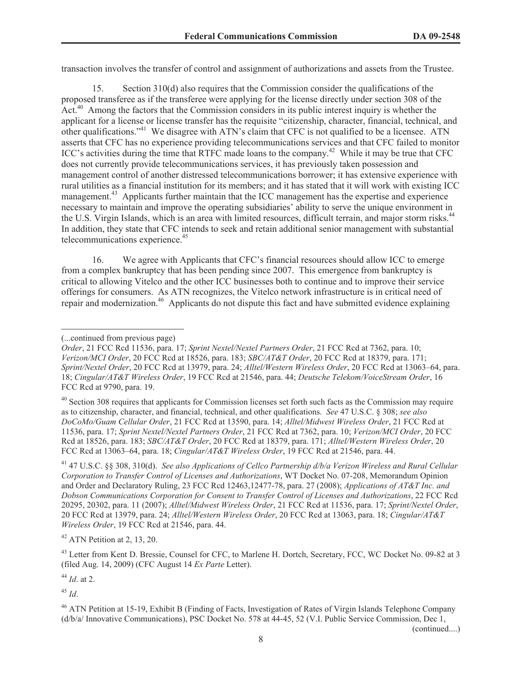transaction involves the transfer of control and assignment of authorizations and assets from the Trustee.

15. Section 310(d) also requires that the Commission consider the qualifications of the proposed transferee as if the transferee were applying for the license directly under section 308 of the Act.<sup>40</sup> Among the factors that the Commission considers in its public interest inquiry is whether the applicant for a license or license transfer has the requisite "citizenship, character, financial, technical, and other qualifications."<sup>41</sup> We disagree with ATN's claim that CFC is not qualified to be a licensee. ATN asserts that CFC has no experience providing telecommunications services and that CFC failed to monitor ICC's activities during the time that RTFC made loans to the company.<sup>42</sup> While it may be true that CFC does not currently provide telecommunications services, it has previously taken possession and management control of another distressed telecommunications borrower; it has extensive experience with rural utilities as a financial institution for its members; and it has stated that it will work with existing ICC management.<sup>43</sup> Applicants further maintain that the ICC management has the expertise and experience necessary to maintain and improve the operating subsidiaries' ability to serve the unique environment in the U.S. Virgin Islands, which is an area with limited resources, difficult terrain, and major storm risks.<sup>44</sup> In addition, they state that CFC intends to seek and retain additional senior management with substantial telecommunications experience.<sup>45</sup>

16. We agree with Applicants that CFC's financial resources should allow ICC to emerge from a complex bankruptcy that has been pending since 2007. This emergence from bankruptcy is critical to allowing Vitelco and the other ICC businesses both to continue and to improve their service offerings for consumers. As ATN recognizes, the Vitelco network infrastructure is in critical need of repair and modernization.<sup>46</sup> Applicants do not dispute this fact and have submitted evidence explaining

<sup>40</sup> Section 308 requires that applicants for Commission licenses set forth such facts as the Commission may require as to citizenship, character, and financial, technical, and other qualifications. *See* 47 U.S.C. § 308; *see also DoCoMo/Guam Cellular Order*, 21 FCC Rcd at 13590, para. 14; *Alltel/Midwest Wireless Order*, 21 FCC Rcd at 11536, para. 17; *Sprint Nextel/Nextel Partners Order*, 21 FCC Rcd at 7362, para. 10; *Verizon/MCI Order*, 20 FCC Rcd at 18526, para. 183; *SBC/AT&T Order*, 20 FCC Rcd at 18379, para. 171; *Alltel/Western Wireless Order*, 20 FCC Rcd at 13063–64, para. 18; *Cingular/AT&T Wireless Order*, 19 FCC Rcd at 21546, para. 44.

<sup>41</sup> 47 U.S.C. §§ 308, 310(d). *See also Applications of Cellco Partnership d/b/a Verizon Wireless and Rural Cellular Corporation to Transfer Control of Licenses and Authorizations*, WT Docket No. 07-208, Memorandum Opinion and Order and Declaratory Ruling, 23 FCC Rcd 12463,12477-78, para. 27 (2008); *Applications of AT&T Inc. and Dobson Communications Corporation for Consent to Transfer Control of Licenses and Authorizations*, 22 FCC Rcd 20295, 20302, para. 11 (2007); *Alltel/Midwest Wireless Order*, 21 FCC Rcd at 11536, para. 17; *Sprint/Nextel Order*, 20 FCC Rcd at 13979, para. 24; *Alltel/Western Wireless Order*, 20 FCC Rcd at 13063, para. 18; *Cingular/AT&T Wireless Order*, 19 FCC Rcd at 21546, para. 44.

 $42$  ATN Petition at 2, 13, 20.

<sup>43</sup> Letter from Kent D. Bressie, Counsel for CFC, to Marlene H. Dortch, Secretary, FCC, WC Docket No. 09-82 at 3 (filed Aug. 14, 2009) (CFC August 14 *Ex Parte* Letter).

<sup>44</sup> *Id*. at 2.

<sup>45</sup> *Id*.

<sup>(...</sup>continued from previous page)

*Order*, 21 FCC Rcd 11536, para. 17; *Sprint Nextel/Nextel Partners Order*, 21 FCC Rcd at 7362, para. 10; *Verizon/MCI Order*, 20 FCC Rcd at 18526, para. 183; *SBC/AT&T Order*, 20 FCC Rcd at 18379, para. 171; *Sprint/Nextel Order*, 20 FCC Rcd at 13979, para. 24; *Alltel/Western Wireless Order*, 20 FCC Rcd at 13063–64, para. 18; *Cingular/AT&T Wireless Order*, 19 FCC Rcd at 21546, para. 44; *Deutsche Telekom/VoiceStream Order*, 16 FCC Rcd at 9790, para. 19.

<sup>&</sup>lt;sup>46</sup> ATN Petition at 15-19, Exhibit B (Finding of Facts, Investigation of Rates of Virgin Islands Telephone Company (d/b/a/ Innovative Communications), PSC Docket No. 578 at 44-45, 52 (V.I. Public Service Commission, Dec 1,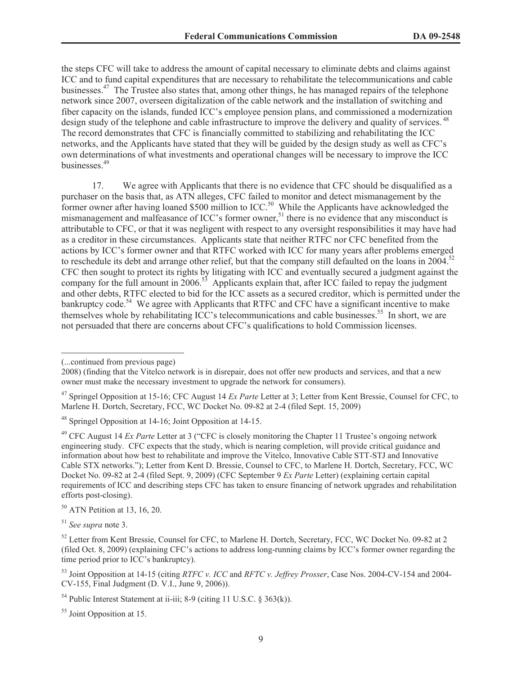the steps CFC will take to address the amount of capital necessary to eliminate debts and claims against ICC and to fund capital expenditures that are necessary to rehabilitate the telecommunications and cable businesses.<sup>47</sup> The Trustee also states that, among other things, he has managed repairs of the telephone network since 2007, overseen digitalization of the cable network and the installation of switching and fiber capacity on the islands, funded ICC's employee pension plans, and commissioned a modernization design study of the telephone and cable infrastructure to improve the delivery and quality of services. <sup>48</sup> The record demonstrates that CFC is financially committed to stabilizing and rehabilitating the ICC networks, and the Applicants have stated that they will be guided by the design study as well as CFC's own determinations of what investments and operational changes will be necessary to improve the ICC businesses.<sup>49</sup>

17. We agree with Applicants that there is no evidence that CFC should be disqualified as a purchaser on the basis that, as ATN alleges, CFC failed to monitor and detect mismanagement by the former owner after having loaned \$500 million to ICC.<sup>50</sup> While the Applicants have acknowledged the mismanagement and malfeasance of ICC's former owner,<sup>51</sup> there is no evidence that any misconduct is attributable to CFC, or that it was negligent with respect to any oversight responsibilities it may have had as a creditor in these circumstances. Applicants state that neither RTFC nor CFC benefited from the actions by ICC's former owner and that RTFC worked with ICC for many years after problems emerged to reschedule its debt and arrange other relief, but that the company still defaulted on the loans in  $2004$ .<sup>52</sup> CFC then sought to protect its rights by litigating with ICC and eventually secured a judgment against the company for the full amount in  $2006$ <sup>53</sup> Applicants explain that, after ICC failed to repay the judgment and other debts, RTFC elected to bid for the ICC assets as a secured creditor, which is permitted under the bankruptcy code.<sup>54</sup> We agree with Applicants that RTFC and CFC have a significant incentive to make themselves whole by rehabilitating ICC's telecommunications and cable businesses.<sup>55</sup> In short, we are not persuaded that there are concerns about CFC's qualifications to hold Commission licenses.

<sup>(...</sup>continued from previous page)

<sup>2008) (</sup>finding that the Vitelco network is in disrepair, does not offer new products and services, and that a new owner must make the necessary investment to upgrade the network for consumers).

<sup>47</sup> Springel Opposition at 15-16; CFC August 14 *Ex Parte* Letter at 3; Letter from Kent Bressie, Counsel for CFC, to Marlene H. Dortch, Secretary, FCC, WC Docket No. 09-82 at 2-4 (filed Sept. 15, 2009)

<sup>48</sup> Springel Opposition at 14-16; Joint Opposition at 14-15.

<sup>&</sup>lt;sup>49</sup> CFC August 14 *Ex Parte* Letter at 3 ("CFC is closely monitoring the Chapter 11 Trustee's ongoing network engineering study. CFC expects that the study, which is nearing completion, will provide critical guidance and information about how best to rehabilitate and improve the Vitelco, Innovative Cable STT-STJ and Innovative Cable STX networks."); Letter from Kent D. Bressie, Counsel to CFC, to Marlene H. Dortch, Secretary, FCC, WC Docket No. 09-82 at 2-4 (filed Sept. 9, 2009) (CFC September 9 *Ex Parte* Letter) (explaining certain capital requirements of ICC and describing steps CFC has taken to ensure financing of network upgrades and rehabilitation efforts post-closing).

<sup>50</sup> ATN Petition at 13, 16, 20.

<sup>51</sup> *See supra* note 3.

<sup>&</sup>lt;sup>52</sup> Letter from Kent Bressie, Counsel for CFC, to Marlene H. Dortch, Secretary, FCC, WC Docket No. 09-82 at 2 (filed Oct. 8, 2009) (explaining CFC's actions to address long-running claims by ICC's former owner regarding the time period prior to ICC's bankruptcy).

<sup>53</sup> Joint Opposition at 14-15 (citing *RTFC v. ICC* and *RFTC v. Jeffrey Prosser*, Case Nos. 2004-CV-154 and 2004- CV-155, Final Judgment (D. V.I., June 9, 2006)).

<sup>&</sup>lt;sup>54</sup> Public Interest Statement at ii-iii; 8-9 (citing 11 U.S.C. § 363(k)).

<sup>&</sup>lt;sup>55</sup> Joint Opposition at 15.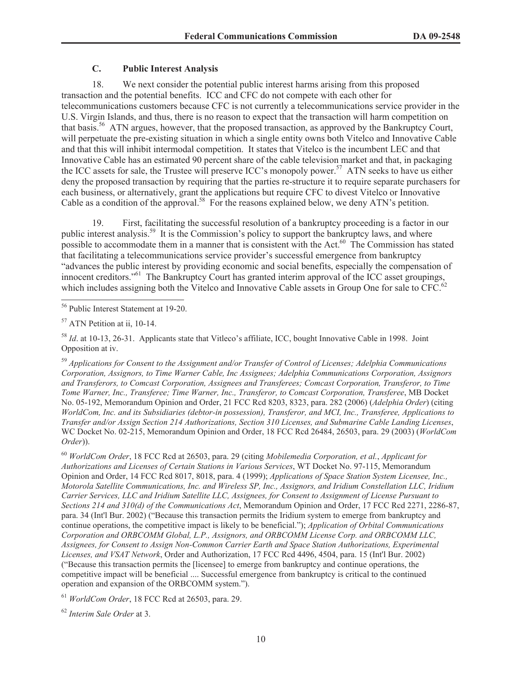### **C. Public Interest Analysis**

18. We next consider the potential public interest harms arising from this proposed transaction and the potential benefits. ICC and CFC do not compete with each other for telecommunications customers because CFC is not currently a telecommunications service provider in the U.S. Virgin Islands, and thus, there is no reason to expect that the transaction will harm competition on that basis.<sup>56</sup> ATN argues, however, that the proposed transaction, as approved by the Bankruptcy Court, will perpetuate the pre-existing situation in which a single entity owns both Vitelco and Innovative Cable and that this will inhibit intermodal competition. It states that Vitelco is the incumbent LEC and that Innovative Cable has an estimated 90 percent share of the cable television market and that, in packaging the ICC assets for sale, the Trustee will preserve ICC's monopoly power.<sup>57</sup> ATN seeks to have us either deny the proposed transaction by requiring that the parties re-structure it to require separate purchasers for each business, or alternatively, grant the applications but require CFC to divest Vitelco or Innovative Cable as a condition of the approval.<sup>58</sup> For the reasons explained below, we deny ATN's petition.

19. First, facilitating the successful resolution of a bankruptcy proceeding is a factor in our public interest analysis.<sup>59</sup> It is the Commission's policy to support the bankruptcy laws, and where possible to accommodate them in a manner that is consistent with the Act. $^{60}$  The Commission has stated that facilitating a telecommunications service provider's successful emergence from bankruptcy "advances the public interest by providing economic and social benefits, especially the compensation of innocent creditors."<sup>61</sup> The Bankruptcy Court has granted interim approval of the ICC asset groupings, which includes assigning both the Vitelco and Innovative Cable assets in Group One for sale to CFC.<sup>62</sup>

<sup>58</sup> *Id.* at 10-13, 26-31. Applicants state that Vitleco's affiliate, ICC, bought Innovative Cable in 1998. Joint Opposition at iv.

<sup>59</sup> *Applications for Consent to the Assignment and/or Transfer of Control of Licenses; Adelphia Communications Corporation, Assignors, to Time Warner Cable, Inc Assignees; Adelphia Communications Corporation, Assignors and Transferors, to Comcast Corporation, Assignees and Transferees; Comcast Corporation, Transferor, to Time Tome Warner, Inc., Transferee; Time Warner, Inc., Transferor, to Comcast Corporation, Transferee*, MB Docket No. 05-192, Memorandum Opinion and Order, 21 FCC Rcd 8203, 8323, para. 282 (2006) (*Adelphia Order*) (citing *WorldCom, Inc. and its Subsidiaries (debtor-in possession), Transferor, and MCI, Inc., Transferee, Applications to Transfer and/or Assign Section 214 Authorizations, Section 310 Licenses, and Submarine Cable Landing Licenses*, WC Docket No. 02-215, Memorandum Opinion and Order, 18 FCC Rcd 26484, 26503, para. 29 (2003) (*WorldCom Order*)).

<sup>60</sup> *WorldCom Order*, 18 FCC Rcd at 26503, para. 29 (citing *Mobilemedia Corporation, et al.*, *Applicant for Authorizations and Licenses of Certain Stations in Various Services*, WT Docket No. 97-115, Memorandum Opinion and Order, 14 FCC Rcd 8017, 8018, para. 4 (1999); *Applications of Space Station System Licensee, Inc., Motorola Satellite Communications, Inc. and Wireless SP, Inc., Assignors, and Iridium Constellation LLC, Iridium Carrier Services, LLC and Iridium Satellite LLC, Assignees, for Consent to Assignment of License Pursuant to Sections 214 and 310(d) of the Communications Act*, Memorandum Opinion and Order, 17 FCC Rcd 2271, 2286-87, para. 34 (Int'l Bur. 2002) ("Because this transaction permits the Iridium system to emerge from bankruptcy and continue operations, the competitive impact is likely to be beneficial."); *Application of Orbital Communications Corporation and ORBCOMM Global, L.P., Assignors, and ORBCOMM License Corp. and ORBCOMM LLC, Assignees, for Consent to Assign Non-Common Carrier Earth and Space Station Authorizations, Experimental Licenses, and VSAT Network*, Order and Authorization, 17 FCC Rcd 4496, 4504, para. 15 (Int'l Bur. 2002) ("Because this transaction permits the [licensee] to emerge from bankruptcy and continue operations, the competitive impact will be beneficial .... Successful emergence from bankruptcy is critical to the continued operation and expansion of the ORBCOMM system.").

<sup>61</sup> *WorldCom Order*, 18 FCC Rcd at 26503, para. 29.

<sup>62</sup> *Interim Sale Order* at 3.

<sup>56</sup> Public Interest Statement at 19-20.

<sup>57</sup> ATN Petition at ii, 10-14.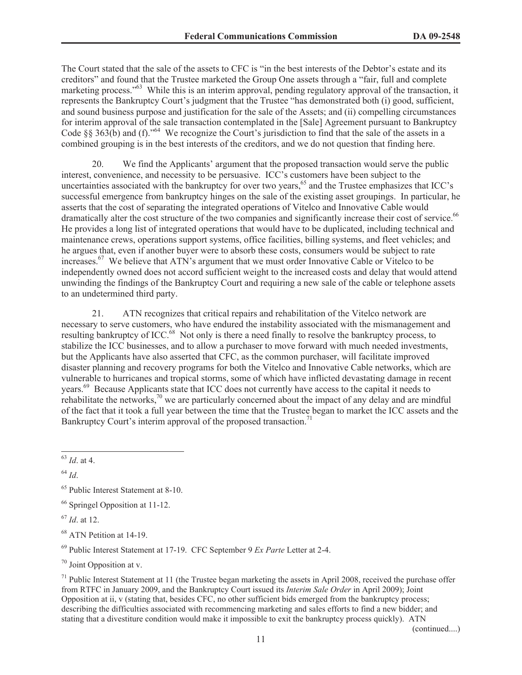The Court stated that the sale of the assets to CFC is "in the best interests of the Debtor's estate and its creditors" and found that the Trustee marketed the Group One assets through a "fair, full and complete marketing process."<sup>63</sup> While this is an interim approval, pending regulatory approval of the transaction, it represents the Bankruptcy Court's judgment that the Trustee "has demonstrated both (i) good, sufficient, and sound business purpose and justification for the sale of the Assets; and (ii) compelling circumstances for interim approval of the sale transaction contemplated in the [Sale] Agreement pursuant to Bankruptcy Code  $\S$ § 363(b) and (f).<sup>564</sup> We recognize the Court's jurisdiction to find that the sale of the assets in a combined grouping is in the best interests of the creditors, and we do not question that finding here.

20. We find the Applicants' argument that the proposed transaction would serve the public interest, convenience, and necessity to be persuasive. ICC's customers have been subject to the uncertainties associated with the bankruptcy for over two years,<sup>65</sup> and the Trustee emphasizes that ICC's successful emergence from bankruptcy hinges on the sale of the existing asset groupings. In particular, he asserts that the cost of separating the integrated operations of Vitelco and Innovative Cable would dramatically alter the cost structure of the two companies and significantly increase their cost of service.<sup>66</sup> He provides a long list of integrated operations that would have to be duplicated, including technical and maintenance crews, operations support systems, office facilities, billing systems, and fleet vehicles; and he argues that, even if another buyer were to absorb these costs, consumers would be subject to rate increases.<sup>67</sup> We believe that ATN's argument that we must order Innovative Cable or Vitelco to be independently owned does not accord sufficient weight to the increased costs and delay that would attend unwinding the findings of the Bankruptcy Court and requiring a new sale of the cable or telephone assets to an undetermined third party.

21. ATN recognizes that critical repairs and rehabilitation of the Vitelco network are necessary to serve customers, who have endured the instability associated with the mismanagement and resulting bankruptcy of ICC.<sup>68</sup> Not only is there a need finally to resolve the bankruptcy process, to stabilize the ICC businesses, and to allow a purchaser to move forward with much needed investments, but the Applicants have also asserted that CFC, as the common purchaser, will facilitate improved disaster planning and recovery programs for both the Vitelco and Innovative Cable networks, which are vulnerable to hurricanes and tropical storms, some of which have inflicted devastating damage in recent years.<sup>69</sup> Because Applicants state that ICC does not currently have access to the capital it needs to rehabilitate the networks, $\frac{70}{9}$  we are particularly concerned about the impact of any delay and are mindful of the fact that it took a full year between the time that the Trustee began to market the ICC assets and the Bankruptcy Court's interim approval of the proposed transaction.<sup>71</sup>

<sup>66</sup> Springel Opposition at 11-12.

<sup>67</sup> *Id*. at 12.

<sup>68</sup> ATN Petition at 14-19.

<sup>69</sup> Public Interest Statement at 17-19. CFC September 9 *Ex Parte* Letter at 2-4.

<sup>70</sup> Joint Opposition at v.

 $71$  Public Interest Statement at 11 (the Trustee began marketing the assets in April 2008, received the purchase offer from RTFC in January 2009, and the Bankruptcy Court issued its *Interim Sale Order* in April 2009); Joint Opposition at ii, v (stating that, besides CFC, no other sufficient bids emerged from the bankruptcy process; describing the difficulties associated with recommencing marketing and sales efforts to find a new bidder; and stating that a divestiture condition would make it impossible to exit the bankruptcy process quickly). ATN

<sup>63</sup> *Id*. at 4.

<sup>64</sup> *Id*.

<sup>65</sup> Public Interest Statement at 8-10.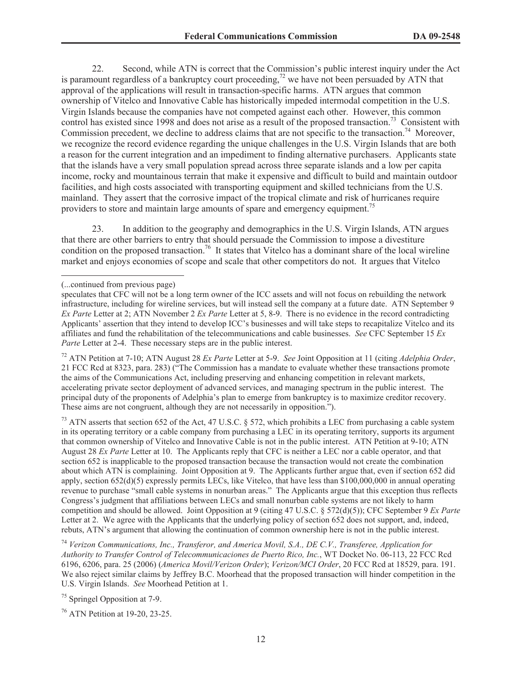22. Second, while ATN is correct that the Commission's public interest inquiry under the Act is paramount regardless of a bankruptcy court proceeding,<sup>72</sup> we have not been persuaded by ATN that approval of the applications will result in transaction-specific harms. ATN argues that common ownership of Vitelco and Innovative Cable has historically impeded intermodal competition in the U.S. Virgin Islands because the companies have not competed against each other. However, this common control has existed since 1998 and does not arise as a result of the proposed transaction.<sup>73</sup> Consistent with Commission precedent, we decline to address claims that are not specific to the transaction.<sup>74</sup> Moreover, we recognize the record evidence regarding the unique challenges in the U.S. Virgin Islands that are both a reason for the current integration and an impediment to finding alternative purchasers. Applicants state that the islands have a very small population spread across three separate islands and a low per capita income, rocky and mountainous terrain that make it expensive and difficult to build and maintain outdoor facilities, and high costs associated with transporting equipment and skilled technicians from the U.S. mainland. They assert that the corrosive impact of the tropical climate and risk of hurricanes require providers to store and maintain large amounts of spare and emergency equipment.<sup>75</sup>

23. In addition to the geography and demographics in the U.S. Virgin Islands, ATN argues that there are other barriers to entry that should persuade the Commission to impose a divestiture condition on the proposed transaction.<sup>76</sup> It states that Vitelco has a dominant share of the local wireline market and enjoys economies of scope and scale that other competitors do not. It argues that Vitelco

<sup>72</sup> ATN Petition at 7-10; ATN August 28 *Ex Parte* Letter at 5-9. *See* Joint Opposition at 11 (citing *Adelphia Order*, 21 FCC Rcd at 8323, para. 283) ("The Commission has a mandate to evaluate whether these transactions promote the aims of the Communications Act, including preserving and enhancing competition in relevant markets, accelerating private sector deployment of advanced services, and managing spectrum in the public interest. The principal duty of the proponents of Adelphia's plan to emerge from bankruptcy is to maximize creditor recovery. These aims are not congruent, although they are not necessarily in opposition.").

 $^{73}$  ATN asserts that section 652 of the Act, 47 U.S.C. § 572, which prohibits a LEC from purchasing a cable system in its operating territory or a cable company from purchasing a LEC in its operating territory, supports its argument that common ownership of Vitelco and Innovative Cable is not in the public interest. ATN Petition at 9-10; ATN August 28 *Ex Parte* Letter at 10. The Applicants reply that CFC is neither a LEC nor a cable operator, and that section 652 is inapplicable to the proposed transaction because the transaction would not create the combination about which ATN is complaining. Joint Opposition at 9. The Applicants further argue that, even if section 652 did apply, section 652(d)(5) expressly permits LECs, like Vitelco, that have less than \$100,000,000 in annual operating revenue to purchase "small cable systems in nonurban areas." The Applicants argue that this exception thus reflects Congress's judgment that affiliations between LECs and small nonurban cable systems are not likely to harm competition and should be allowed. Joint Opposition at 9 (citing 47 U.S.C. § 572(d)(5)); CFC September 9 *Ex Parte*  Letter at 2. We agree with the Applicants that the underlying policy of section 652 does not support, and, indeed, rebuts, ATN's argument that allowing the continuation of common ownership here is not in the public interest.

<sup>74</sup> *Verizon Communications, Inc., Transferor, and America Movil, S.A., DE C.V., Transferee, Application for Authority to Transfer Control of Telecommunicaciones de Puerto Rico, Inc.*, WT Docket No. 06-113, 22 FCC Rcd 6196, 6206, para. 25 (2006) (*America Movil/Verizon Order*); *Verizon/MCI Order*, 20 FCC Rcd at 18529, para. 191. We also reject similar claims by Jeffrey B.C. Moorhead that the proposed transaction will hinder competition in the U.S. Virgin Islands. *See* Moorhead Petition at 1.

<sup>75</sup> Springel Opposition at 7-9.

<sup>76</sup> ATN Petition at 19-20, 23-25.

<sup>(...</sup>continued from previous page)

speculates that CFC will not be a long term owner of the ICC assets and will not focus on rebuilding the network infrastructure, including for wireline services, but will instead sell the company at a future date. ATN September 9 *Ex Parte* Letter at 2; ATN November 2 *Ex Parte* Letter at 5, 8-9. There is no evidence in the record contradicting Applicants' assertion that they intend to develop ICC's businesses and will take steps to recapitalize Vitelco and its affiliates and fund the rehabilitation of the telecommunications and cable businesses. *See* CFC September 15 *Ex Parte* Letter at 2-4. These necessary steps are in the public interest.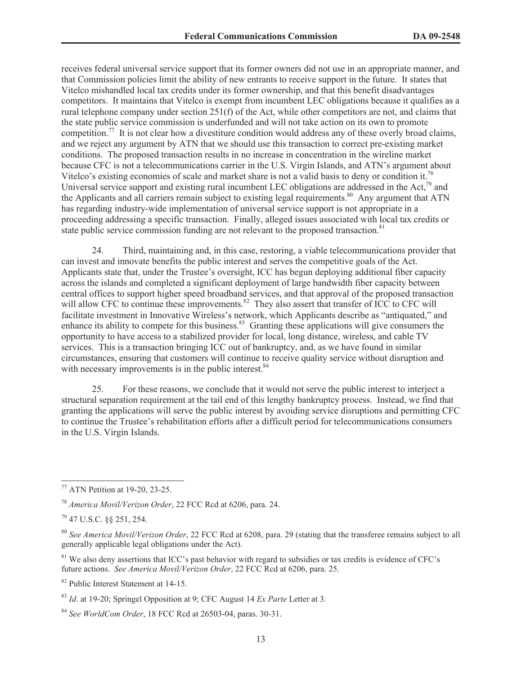receives federal universal service support that its former owners did not use in an appropriate manner, and that Commission policies limit the ability of new entrants to receive support in the future. It states that Vitelco mishandled local tax credits under its former ownership, and that this benefit disadvantages competitors. It maintains that Vitelco is exempt from incumbent LEC obligations because it qualifies as a rural telephone company under section 251(f) of the Act, while other competitors are not, and claims that the state public service commission is underfunded and will not take action on its own to promote competition.<sup>77</sup> It is not clear how a divestiture condition would address any of these overly broad claims, and we reject any argument by ATN that we should use this transaction to correct pre-existing market conditions. The proposed transaction results in no increase in concentration in the wireline market because CFC is not a telecommunications carrier in the U.S. Virgin Islands, and ATN's argument about Vitelco's existing economies of scale and market share is not a valid basis to deny or condition it.<sup>78</sup> Universal service support and existing rural incumbent LEC obligations are addressed in the Act,<sup>79</sup> and the Applicants and all carriers remain subject to existing legal requirements.<sup>80</sup> Any argument that ATN has regarding industry-wide implementation of universal service support is not appropriate in a proceeding addressing a specific transaction. Finally, alleged issues associated with local tax credits or state public service commission funding are not relevant to the proposed transaction.<sup>81</sup>

24. Third, maintaining and, in this case, restoring, a viable telecommunications provider that can invest and innovate benefits the public interest and serves the competitive goals of the Act. Applicants state that, under the Trustee's oversight, ICC has begun deploying additional fiber capacity across the islands and completed a significant deployment of large bandwidth fiber capacity between central offices to support higher speed broadband services, and that approval of the proposed transaction will allow CFC to continue these improvements. $82$  They also assert that transfer of ICC to CFC will facilitate investment in Innovative Wireless's network, which Applicants describe as "antiquated," and enhance its ability to compete for this business.<sup>83</sup> Granting these applications will give consumers the opportunity to have access to a stabilized provider for local, long distance, wireless, and cable TV services. This is a transaction bringing ICC out of bankruptcy, and, as we have found in similar circumstances, ensuring that customers will continue to receive quality service without disruption and with necessary improvements is in the public interest.<sup>84</sup>

25. For these reasons, we conclude that it would not serve the public interest to interject a structural separation requirement at the tail end of this lengthy bankruptcy process. Instead, we find that granting the applications will serve the public interest by avoiding service disruptions and permitting CFC to continue the Trustee's rehabilitation efforts after a difficult period for telecommunications consumers in the U.S. Virgin Islands.

<sup>82</sup> Public Interest Statement at 14-15.

<sup>77</sup> ATN Petition at 19-20, 23-25.

<sup>78</sup> *America Movil/Verizon Order*, 22 FCC Rcd at 6206, para. 24.

<sup>79</sup> 47 U.S.C. §§ 251, 254.

<sup>80</sup> *See America Movil/Verizon Order*, 22 FCC Rcd at 6208, para. 29 (stating that the transferee remains subject to all generally applicable legal obligations under the Act).

 $81$  We also deny assertions that ICC's past behavior with regard to subsidies or tax credits is evidence of CFC's future actions. *See America Movil/Verizon Order*, 22 FCC Rcd at 6206, para. 25.

<sup>83</sup> *Id.* at 19-20; Springel Opposition at 9; CFC August 14 *Ex Parte* Letter at 3.

<sup>84</sup> *See WorldCom Order*, 18 FCC Rcd at 26503-04, paras. 30-31.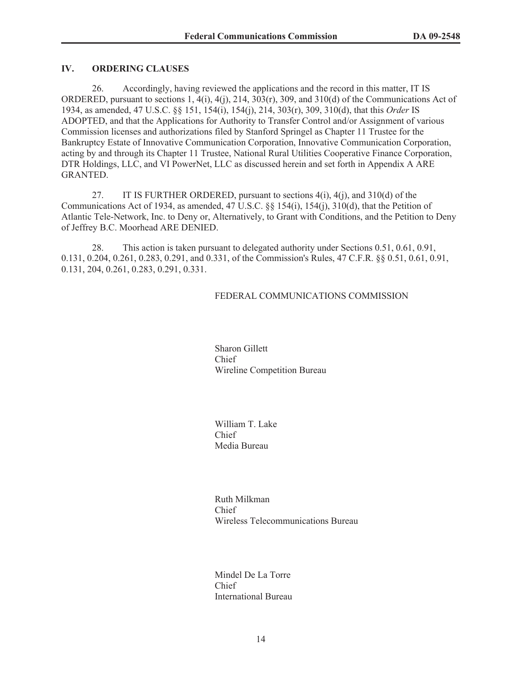### **IV. ORDERING CLAUSES**

26. Accordingly, having reviewed the applications and the record in this matter, IT IS ORDERED, pursuant to sections 1, 4(i), 4(j), 214, 303(r), 309, and 310(d) of the Communications Act of 1934, as amended, 47 U.S.C. §§ 151, 154(i), 154(j), 214, 303(r), 309, 310(d), that this *Order* IS ADOPTED, and that the Applications for Authority to Transfer Control and/or Assignment of various Commission licenses and authorizations filed by Stanford Springel as Chapter 11 Trustee for the Bankruptcy Estate of Innovative Communication Corporation, Innovative Communication Corporation, acting by and through its Chapter 11 Trustee, National Rural Utilities Cooperative Finance Corporation, DTR Holdings, LLC, and VI PowerNet, LLC as discussed herein and set forth in Appendix A ARE GRANTED.

27. IT IS FURTHER ORDERED, pursuant to sections  $4(i)$ ,  $4(i)$ , and  $310(d)$  of the Communications Act of 1934, as amended, 47 U.S.C. §§ 154(i), 154(j), 310(d), that the Petition of Atlantic Tele-Network, Inc. to Deny or, Alternatively, to Grant with Conditions, and the Petition to Deny of Jeffrey B.C. Moorhead ARE DENIED.

28. This action is taken pursuant to delegated authority under Sections 0.51, 0.61, 0.91, 0.131, 0.204, 0.261, 0.283, 0.291, and 0.331, of the Commission's Rules, 47 C.F.R. §§ 0.51, 0.61, 0.91, 0.131, 204, 0.261, 0.283, 0.291, 0.331.

### FEDERAL COMMUNICATIONS COMMISSION

Sharon Gillett Chief Wireline Competition Bureau

William T. Lake Chief Media Bureau

Ruth Milkman Chief Wireless Telecommunications Bureau

Mindel De La Torre Chief International Bureau